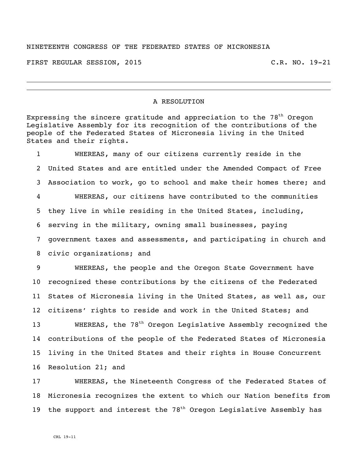## NINETEENTH CONGRESS OF THE FEDERATED STATES OF MICRONESIA

FIRST REGULAR SESSION, 2015 C.R. NO. 19-21

## A RESOLUTION

Expressing the sincere gratitude and appreciation to the  $78<sup>th</sup>$  Oregon Legislative Assembly for its recognition of the contributions of the people of the Federated States of Micronesia living in the United States and their rights.

 WHEREAS, many of our citizens currently reside in the United States and are entitled under the Amended Compact of Free Association to work, go to school and make their homes there; and WHEREAS, our citizens have contributed to the communities they live in while residing in the United States, including, serving in the military, owning small businesses, paying government taxes and assessments, and participating in church and civic organizations; and

 WHEREAS, the people and the Oregon State Government have recognized these contributions by the citizens of the Federated States of Micronesia living in the United States, as well as, our citizens' rights to reside and work in the United States; and

13 WHEREAS, the  $78<sup>th</sup>$  Oregon Legislative Assembly recognized the contributions of the people of the Federated States of Micronesia living in the United States and their rights in House Concurrent Resolution 21; and

 WHEREAS, the Nineteenth Congress of the Federated States of Micronesia recognizes the extent to which our Nation benefits from 19 the support and interest the  $78<sup>th</sup>$  Oregon Legislative Assembly has